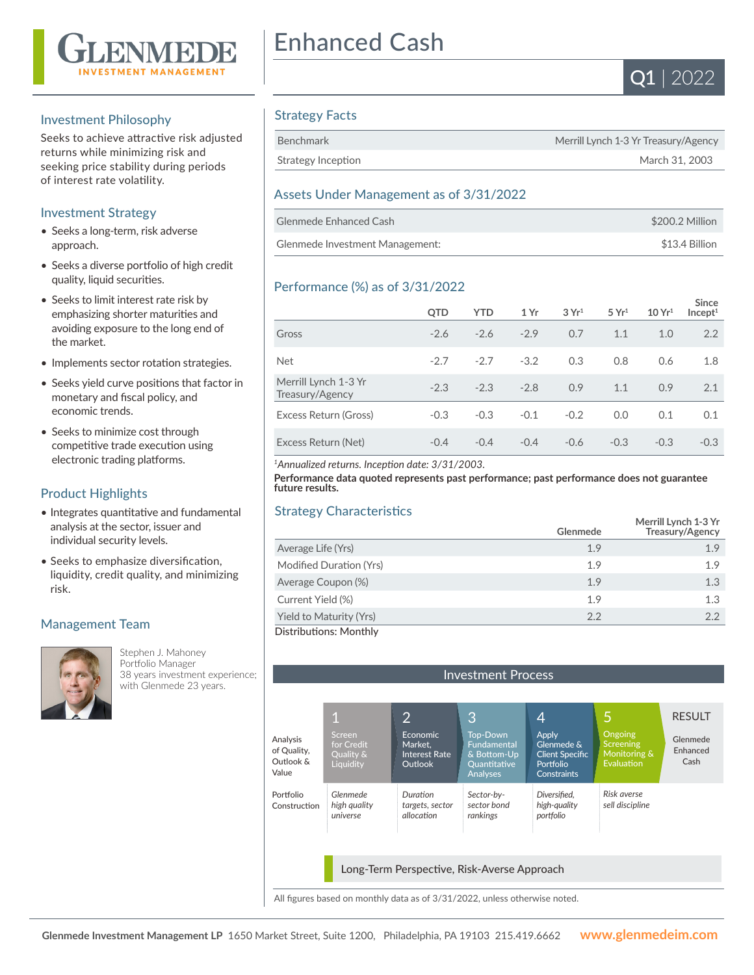

#### Investment Philosophy

Seeks to achieve attractive risk adjusted returns while minimizing risk and seeking price stability during periods of interest rate volatility.

# Investment Strategy

- Seeks a long-term, risk adverse approach.
- Seeks a diverse portfolio of high credit quality, liquid securities.
- Seeks to limit interest rate risk by emphasizing shorter maturities and avoiding exposure to the long end of the market.
- Implements sector rotation strategies.
- Seeks yield curve positions that factor in monetary and fiscal policy, and economic trends.
- Seeks to minimize cost through competitive trade execution using electronic trading platforms.

# Product Highlights

- Integrates quantitative and fundamental analysis at the sector, issuer and individual security levels.
- Seeks to emphasize diversification, liquidity, credit quality, and minimizing risk.

# Management Team



Stephen J. Mahoney Portfolio Manager 38 years investment experience; with Glenmede 23 years.

# Enhanced Cash



# Strategy Facts

| Benchmark          | Merrill Lynch 1-3 Yr Treasury/Agency |
|--------------------|--------------------------------------|
| Strategy Inception | March 31, 2003                       |

# Assets Under Management as of 3/31/2022

| Glenmede Enhanced Cash          | \$200.2 Million |
|---------------------------------|-----------------|
| Glenmede Investment Management: | \$13.4 Billion  |

# Performance (%) as of 3/31/2022

|                                         | <b>QTD</b> | <b>YTD</b> | 1 Yr   | 3Yr <sup>1</sup> | 5 Yr <sup>1</sup> | 10 Yr <sup>1</sup> | <b>Since</b><br>Incept <sup>1</sup> |
|-----------------------------------------|------------|------------|--------|------------------|-------------------|--------------------|-------------------------------------|
| Gross                                   | $-2.6$     | $-2.6$     | $-2.9$ | 0.7              | 1.1               | 1.0                | 2.2                                 |
| <b>Net</b>                              | $-2.7$     | $-2.7$     | $-3.2$ | 0.3              | 0.8               | 0.6                | 1.8                                 |
| Merrill Lynch 1-3 Yr<br>Treasury/Agency | $-2.3$     | $-2.3$     | $-2.8$ | 0.9              | 1.1               | 0.9                | 2.1                                 |
| Excess Return (Gross)                   | $-0.3$     | $-0.3$     | $-0.1$ | $-0.2$           | 0.0               | 0.1                | 0.1                                 |
| Excess Return (Net)                     | $-0.4$     | $-0.4$     | $-0.4$ | $-0.6$           | $-0.3$            | $-0.3$             | $-0.3$                              |

*<sup>1</sup>Annualized returns. Inception date: 3/31/2003.*

**Performance data quoted represents past performance; past performance does not guarantee future results.**

# Strategy Characteristics

| $\frac{1}{2}$           |          |                                         |  |  |
|-------------------------|----------|-----------------------------------------|--|--|
|                         | Glenmede | Merrill Lynch 1-3 Yr<br>Treasury/Agency |  |  |
| Average Life (Yrs)      | 1.9      | 1.9                                     |  |  |
| Modified Duration (Yrs) | 1.9      | 1.9                                     |  |  |
| Average Coupon (%)      | 1.9      | 1.3                                     |  |  |
| Current Yield (%)       | 1.9      | 1.3                                     |  |  |
| Yield to Maturity (Yrs) | 2.2      | 2.2                                     |  |  |
| Distributions: Monthly  |          |                                         |  |  |

| <b>Investment Process</b>                     |                                                |                                                               |                                                                                  |                                                                                         |                                                                  |                              |  |
|-----------------------------------------------|------------------------------------------------|---------------------------------------------------------------|----------------------------------------------------------------------------------|-----------------------------------------------------------------------------------------|------------------------------------------------------------------|------------------------------|--|
|                                               |                                                |                                                               |                                                                                  |                                                                                         |                                                                  |                              |  |
|                                               | 1                                              | 2                                                             | 3                                                                                | 4                                                                                       | 5                                                                | <b>RESULT</b>                |  |
| Analysis<br>of Quality,<br>Outlook &<br>Value | Screen<br>for Credit<br>Quality &<br>Liquidity | <b>Economic</b><br>Market.<br><b>Interest Rate</b><br>Outlook | <b>Top-Down</b><br>Fundamental<br>& Bottom-Up<br>Quantitative<br><b>Analyses</b> | <b>Apply</b><br>Glenmede &<br><b>Client Specific</b><br>Portfolio<br><b>Constraints</b> | <b>Ongoing</b><br><b>Screening</b><br>Monitoring &<br>Evaluation | Glenmede<br>Enhanced<br>Cash |  |
| Portfolio<br>Construction                     | Glenmede<br>high quality<br>universe           | Duration<br>targets, sector<br>allocation                     | Sector-by-<br>sector bond<br>rankings                                            | Diversified,<br>high-quality<br>portfolio                                               | Risk averse<br>sell discipline                                   |                              |  |
|                                               |                                                |                                                               |                                                                                  |                                                                                         |                                                                  |                              |  |
| Long-Term Perspective, Risk-Averse Approach   |                                                |                                                               |                                                                                  |                                                                                         |                                                                  |                              |  |

All figures based on monthly data as of 3/31/2022, unless otherwise noted.